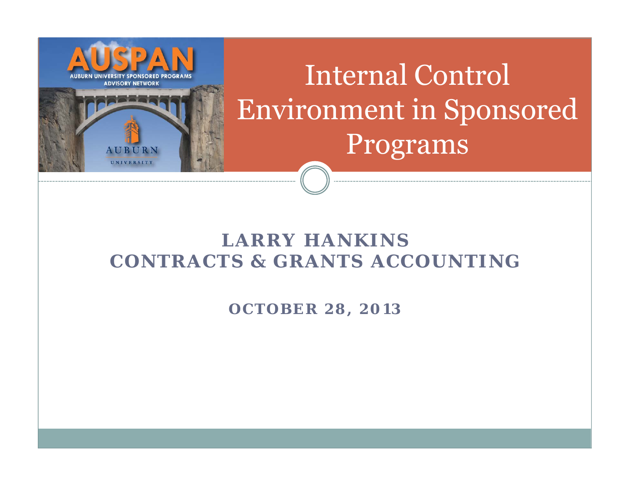

## **LARRY HANKINSCONTRACTS & GRANTS ACCOUNTING**

**OCTOBER 28, 2013**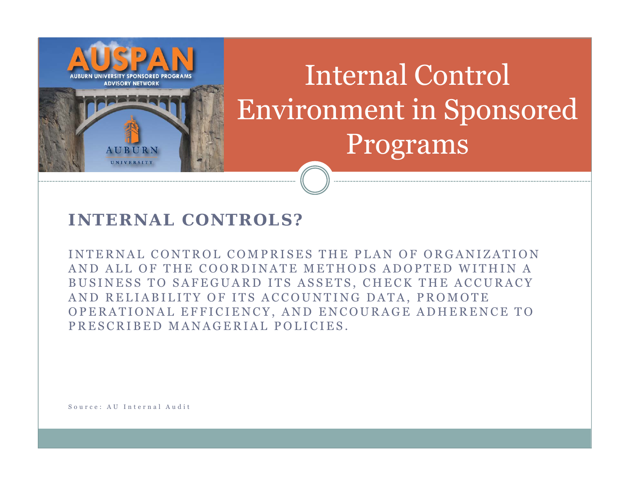

### **INTERNAL CONTROLS?**

INTERNAL CONTROL COMPRISES THE PLAN OF ORGANIZATION AND ALL OF THE COORDINATE METHODS ADOPTED WITHIN A BUSINESS TO SAFEGUARD ITS ASSETS, CHECK THE ACCURACY AND RELIABILITY OF ITS ACCOUNTING DATA, PROMOTE OPERATIONAL EFFICIENCY, AND ENCOURAGE ADHERENCE TO PRESCRIBED MANAGERIAL POLICIES.

Source: AU Internal Audit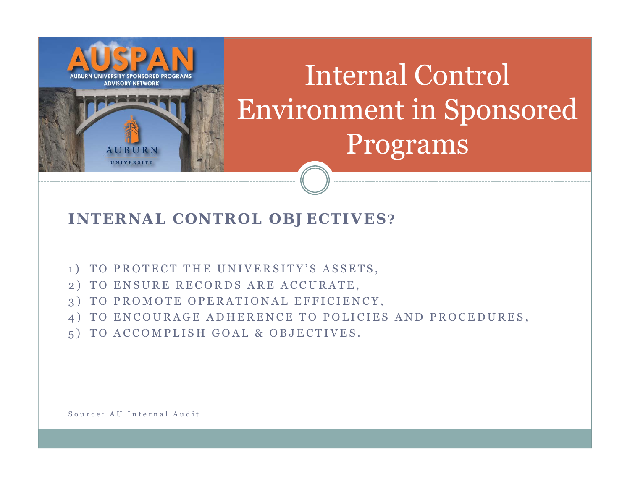

### **INTERNAL CONTROL OBJECTIVES?**

- 1) TO PROTECT THE UNIVERSITY'S ASSETS,
- 2) TO ENSURE RECORDS ARE ACCURATE,
- 3) TO PROMOTE OPERATIONAL EFFICIENCY,
- 4) TO ENCOURAGE ADHERENCE TO POLICIES AND PROCEDURES,
- 5) TO ACCOMPLISH GOAL & OBJECTIVES.

Source: AU Internal Audit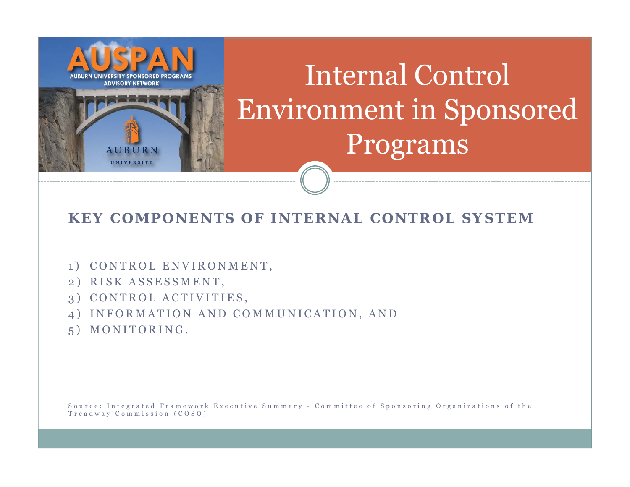

### **KEY COMPONENTS OF INTERNAL CONTROL SYSTEM**

- 1) CONTROL ENVIRONMENT,
- 2) RISK ASSESSMENT,
- 3) CONTROL ACTIVITIES,
- 4) INFORMATION AND COMMUNICATION, AND
- 5) MONITORING.

Source: Integrated Framework Executive Summary - Committee of Sponsoring Organizations of the Treadway Commission (COSO)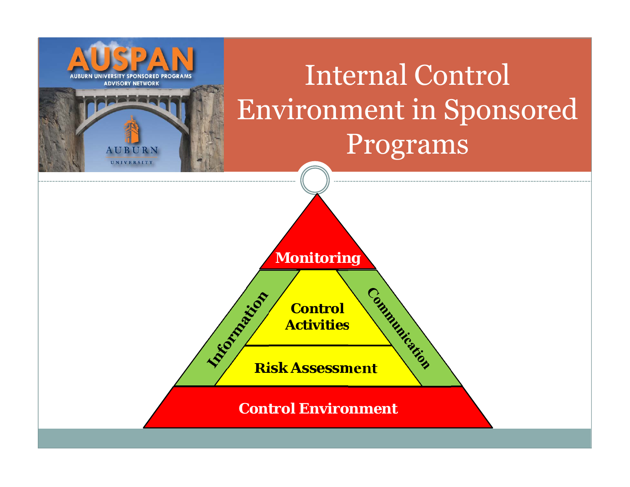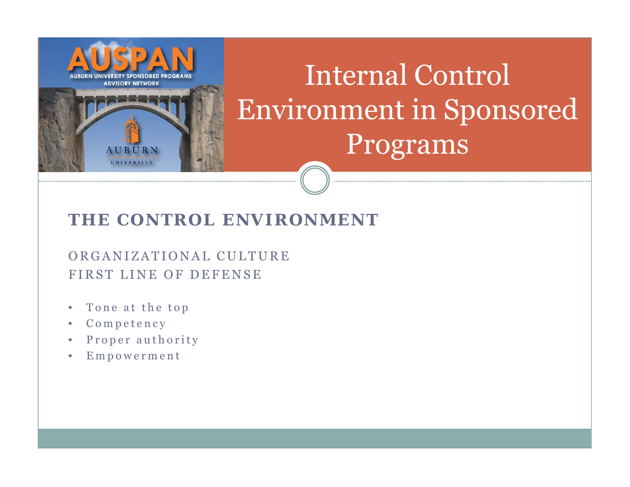

## **THE CONTROL ENVIRONMENT**

### ORGANIZATIONAL CULTUREFIRST LINE OF DEFENSE

- •Tone at the top
- $\bullet$ Competency
- •Proper authority
- $\bullet$ Empowerment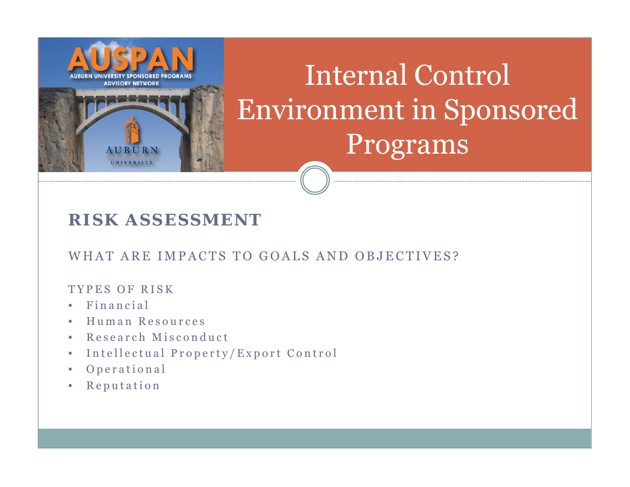

### **RISK ASSESSMENT**

### WHAT ARE IMPACTS TO GOALS AND OBJECTIVES?

#### TYPES OF RISK

- Financial
- Human Resources
- Research Misconduct
- Intellectual Property/Export Control
- Operational
- •Reputation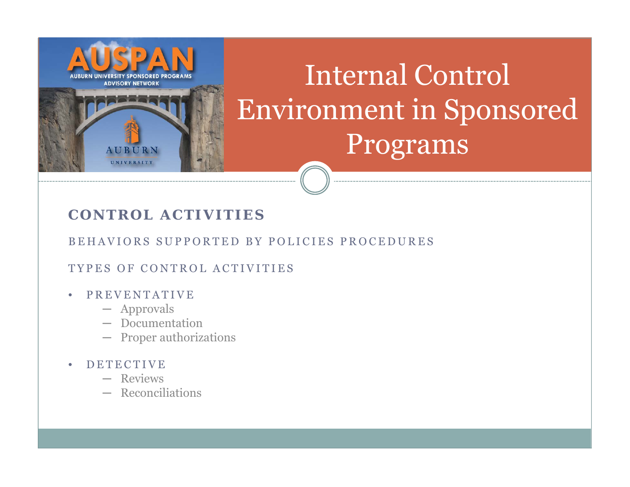

### **CONTROL ACTIVITIES**

BEHAVIORS SUPPORTED BY POLICIES PROCEDURES

TYPES OF CONTROL ACTIVITIES

#### • PREVENTATIVE

- ─ Approvals
- ─ Documentation
- ─ Proper authorizations

#### •DETECTIVE

- ─ Reviews
- ─ Reconciliations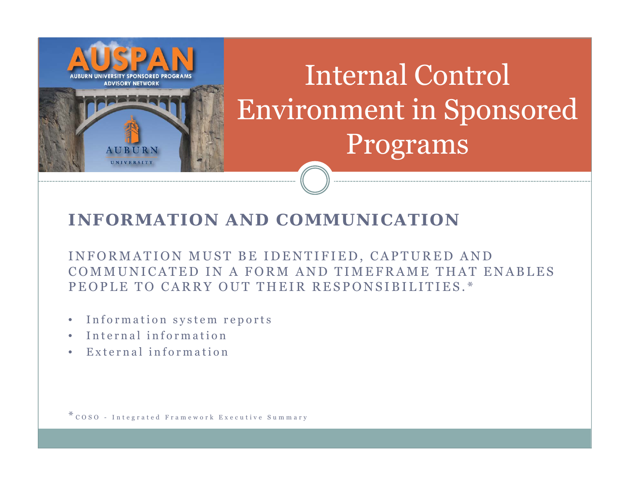

### **INFORMATION AND COMMUNICATION**

INFORMATION MUST BE IDENTIFIED, CAPTURED AND COMMUNICATED IN A FORM AND TIMEFRAME THAT ENABLES PEOPLE TO CARRY OUT THEIR RESPONSIBILITIES.\*

- Information system reports
- Internal information
- •External information

\* COSO - Integrated Framework Executive Summary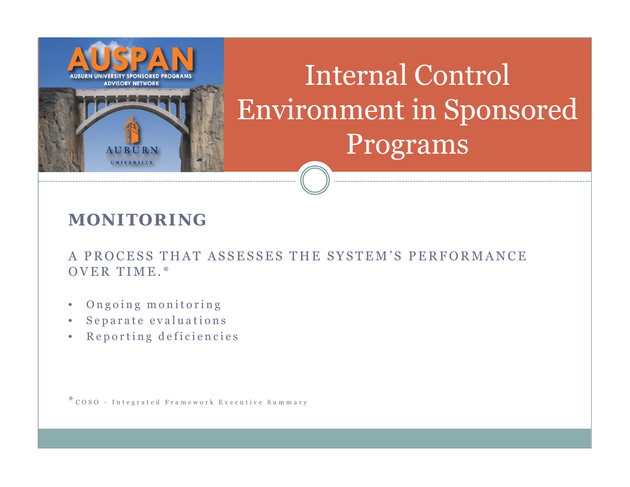

### **MONITORING**

A PROCESS THAT ASSESSES THE SYSTEM'S PERFORMANCE OVER TIME.\*

- Ongoing monitoring
- Separate evaluations
- $\bullet$ Reporting deficiencies

\* COSO - Integrated Framework Executive Summary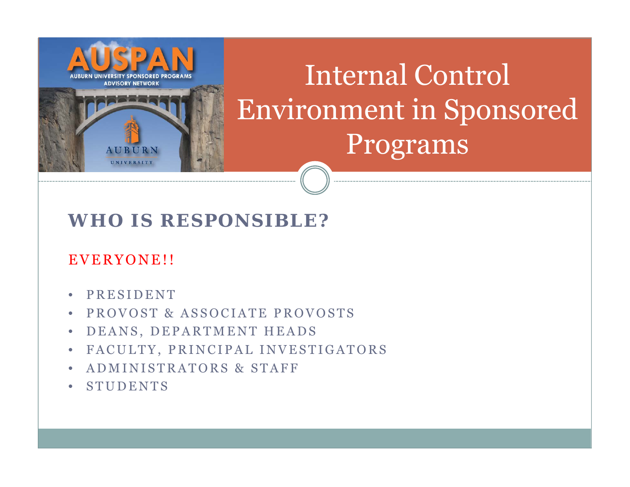

## **WHO IS RESPONSIBLE?**

### EVERYONE!!

- PRESIDENT
- PROVOST & ASSOCIATE PROVOSTS
- DEANS, DEPARTMENT HEADS
- FACULTY, PRINCIPAL INVESTIGATORS
- ADMINISTRATORS & STAFF
- STUDENTS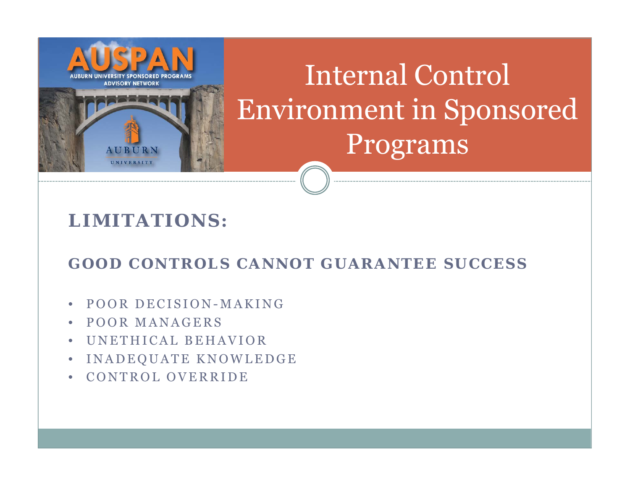

## **LIMITATIONS:**

### **GOOD CONTROLS CANNOT GUARANTEE SUCCESS**

- POOR DECISION-MAKING
- POOR MANAGERS
- UNETHICAL BEHAVIOR
- INADEQUATE KNOWLEDGE
- CONTROL OVERRIDE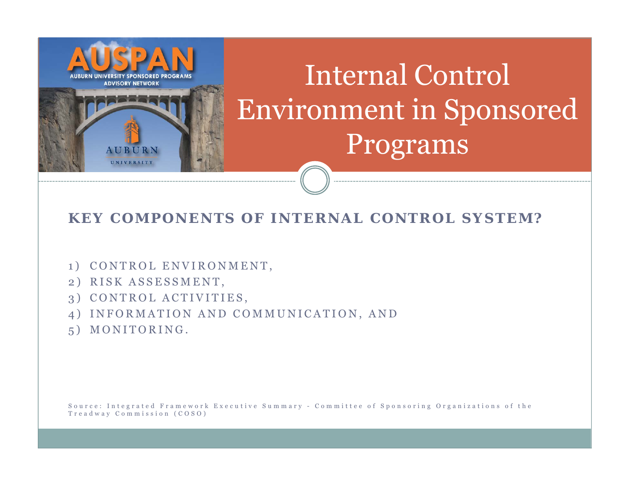

### **KEY COMPONENTS OF INTERNAL CONTROL SYSTEM?**

- 1) CONTROL ENVIRONMENT,
- 2) RISK ASSESSMENT,
- 3) CONTROL ACTIVITIES,
- 4) INFORMATION AND COMMUNICATION, AND
- 5) MONITORING.

Source: Integrated Framework Executive Summary - Committee of Sponsoring Organizations of the Treadway Commission (COSO)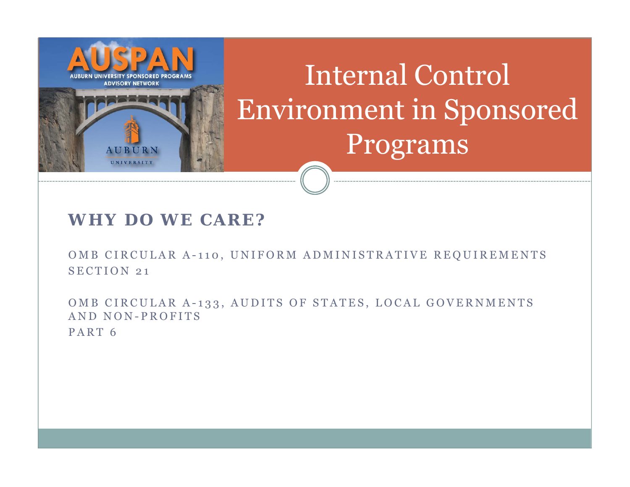

### **WHY DO WE CARE?**

OMB CIRCULAR A-110, UNIFORM ADMINISTRATIVE REQUIREMENTS SECTION 21

OMB CIRCULAR A-133, AUDITS OF STATES, LOCAL GOVERNMENTS AND NON-PROFITSPART 6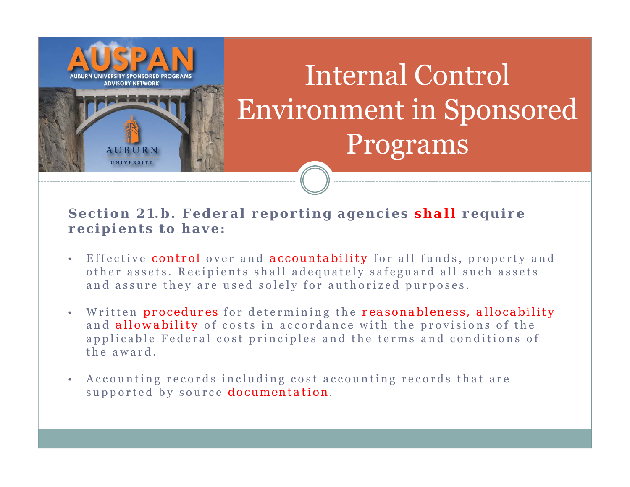

#### **Section 21.b. Federal reporting agencies** *shall require* **recipients to have:**

- Effective *control* over and *accountability* for all funds, property and other assets. Recipients shall adeq uately safeguard all such assets and assure they are used solely for authorized purposes.
- • Written *procedures* for determining the *reasonableness, allocability* and *allowability* of costs in accordance with the provisions of the applicable Federal cost principles and the terms and conditions of the award.
- Accounting records including cost accounting records that are supported by source *documentation* .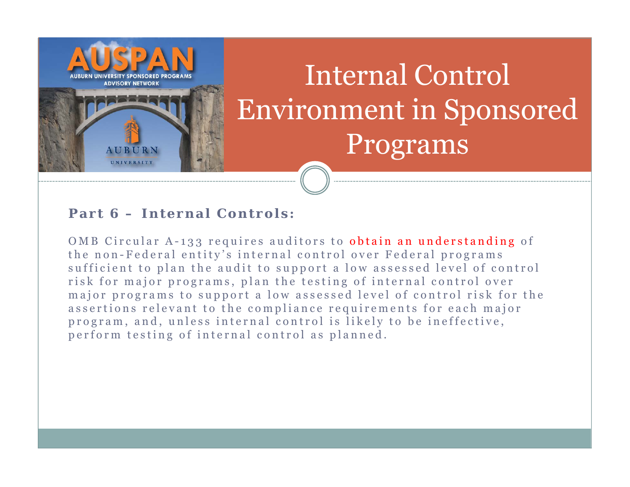

### **Part 6 – Internal Controls:**

OMB Circular A-133 requires auditors to obtain an understanding of the non-Federal entity's internal control over Federal programs sufficient to plan the audit to support a low assessed level of control risk for major programs, plan the testing of internal control over major programs to support a low assessed level of control risk for the assertions relevant to the compliance requirements for each major program, and, unless internal control is likely to be ineffective, perform testing of internal control as planned.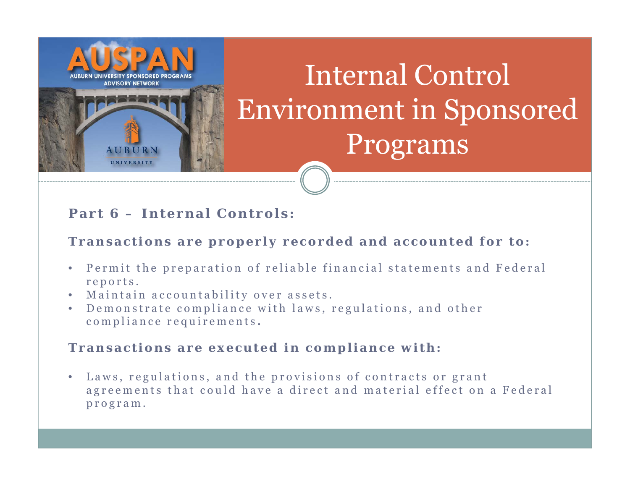

### **Part 6 – Internal Controls:**

### **Transactions are properly recorded and accounted for to:**

- Permit the preparation of reliable financial statements and Federal reports.
- Maintain accountability over assets.
- Demonstrate compliance with laws, regulations, and other compliance requirements **.**

#### **Transactions are executed in compliance with:**

•Laws, regulations, and the provisions of contracts or grant agreements that could have a direct and material effect on a Federal program.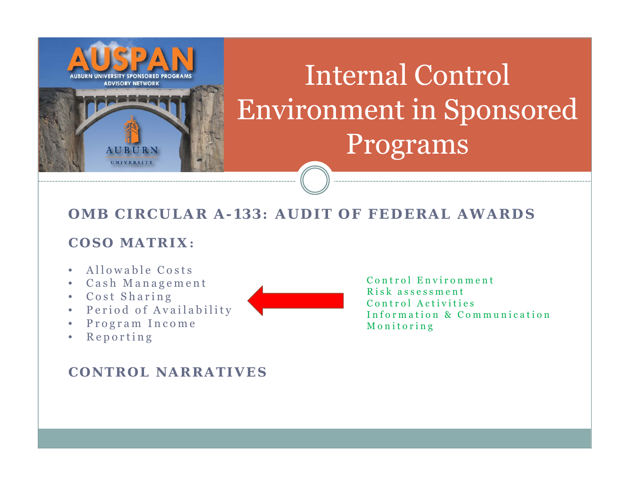

### **OMB CIRCULAR A-133: AUDIT OF FEDERAL AWARDS**

### **COSO MATRIX :**

- Allowable Costs
- Cash Management
- Cost Sharing
- Period of Availability
- Program Income
- $\bullet$ Reporting

#### **CONTROL NARRATIVES**

Control EnvironmentRisk assessmentControl ActivitiesInformation & Communication Monitoring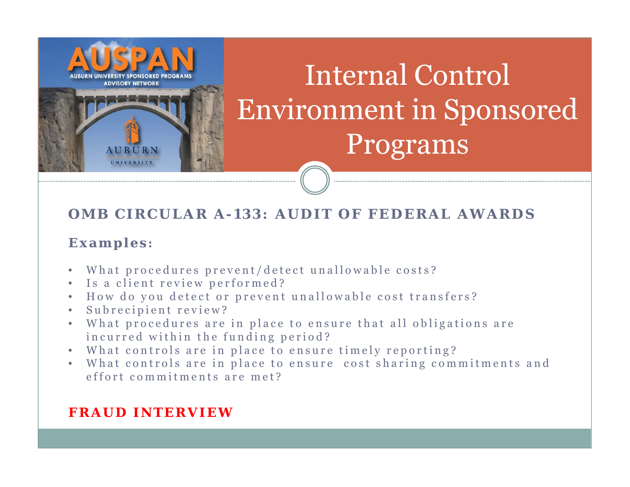

### **OMB CIRCULAR A-133: AUDIT OF FEDERAL AWARDS**

### **Examples :**

- What procedures prevent/detect unallowable costs?
- Is a client review performed?
- How do you detect or prevent unallowable cost transfers?
- Subrecipient review?
- What procedures are in place to ensure that all obligations are incurred within the funding period?
- What controls are in place to ensure timely reporting?
- What controls are in place to ensure cost sharing commitments and effort commitments are met?

### **FRAUD INTERVIEW**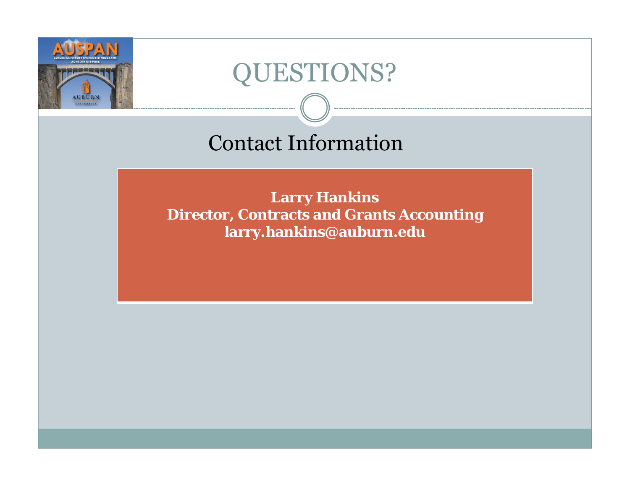

## QUESTIONS?

## Contact Information

**Larry Hankins Director, Contracts and Grants Accounting larry.hankins@auburn.edu**